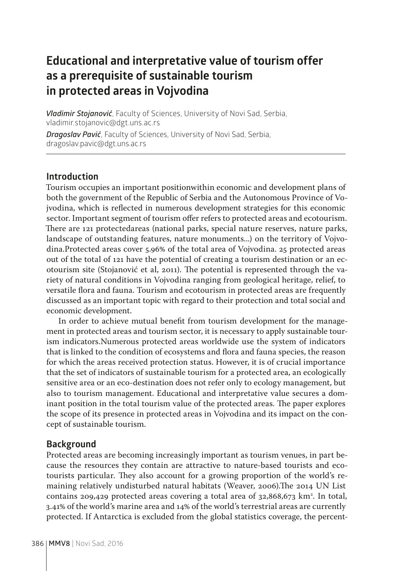# **Educational and interpretative value of tourism offer as a prerequisite of sustainable tourism in protected areas in Vojvodina**

*Vladimir Stojanović*, Faculty of Sciences, University of Novi Sad, Serbia, vladimir.stojanovic@dgt.uns.ac.rs

*Dragoslav Pavić*, Faculty of Sciences, University of Novi Sad, Serbia, dragoslav.pavic@dgt.uns.ac.rs

### **Introduction**

Tourism occupies an important positionwithin economic and development plans of both the government of the Republic of Serbia and the Autonomous Province of Vojvodina, which is reflected in numerous development strategies for this economic sector. Important segment of tourism offer refers to protected areas and ecotourism. There are 121 protectedareas (national parks, special nature reserves, nature parks, landscape of outstanding features, nature monuments...) on the territory of Vojvodina.Protected areas cover 5.96% of the total area of Vojvodina. 25 protected areas out of the total of 121 have the potential of creating a tourism destination or an ecotourism site (Stojanović et al, 2011). The potential is represented through the variety of natural conditions in Vojvodina ranging from geological heritage, relief, to versatile flora and fauna. Tourism and ecotourism in protected areas are frequently discussed as an important topic with regard to their protection and total social and economic development.

In order to achieve mutual benefit from tourism development for the management in protected areas and tourism sector, it is necessary to apply sustainable tourism indicators.Numerous protected areas worldwide use the system of indicators that is linked to the condition of ecosystems and flora and fauna species, the reason for which the areas received protection status. However, it is of crucial importance that the set of indicators of sustainable tourism for a protected area, an ecologically sensitive area or an eco-destination does not refer only to ecology management, but also to tourism management. Educational and interpretative value secures a dominant position in the total tourism value of the protected areas. The paper explores the scope of its presence in protected areas in Vojvodina and its impact on the concept of sustainable tourism.

### **Background**

Protected areas are becoming increasingly important as tourism venues, in part because the resources they contain are attractive to nature-based tourists and ecotourists particular. They also account for a growing proportion of the world's remaining relatively undisturbed natural habitats (Weaver, 2006).The 2014 UN List contains 209,429 protected areas covering a total area of 32,868,673 km². In total, 3.41% of the world's marine area and 14% of the world's terrestrial areas are currently protected. If Antarctica is excluded from the global statistics coverage, the percent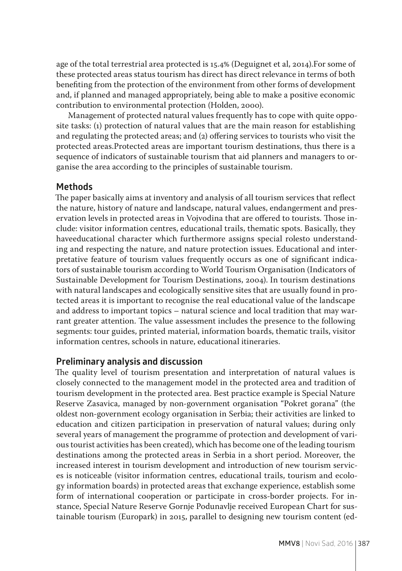age of the total terrestrial area protected is 15.4% (Deguignet et al, 2014).For some of these protected areas status tourism has direct has direct relevance in terms of both benefiting from the protection of the environment from other forms of development and, if planned and managed appropriately, being able to make a positive economic contribution to environmental protection (Holden, 2000).

Management of protected natural values frequently has to cope with quite opposite tasks: (1) protection of natural values that are the main reason for establishing and regulating the protected areas; and (2) offering services to tourists who visit the protected areas.Protected areas are important tourism destinations, thus there is a sequence of indicators of sustainable tourism that aid planners and managers to organise the area according to the principles of sustainable tourism.

## **Methods**

The paper basically aims at inventory and analysis of all tourism services that reflect the nature, history of nature and landscape, natural values, endangerment and preservation levels in protected areas in Vojvodina that are offered to tourists. Those include: visitor information centres, educational trails, thematic spots. Basically, they haveeducational character which furthermore assigns special rolesto understanding and respecting the nature, and nature protection issues. Educational and interpretative feature of tourism values frequently occurs as one of significant indicators of sustainable tourism according to World Tourism Organisation (Indicators of Sustainable Development for Tourism Destinations, 2004). In tourism destinations with natural landscapes and ecologically sensitive sites that are usually found in protected areas it is important to recognise the real educational value of the landscape and address to important topics – natural science and local tradition that may warrant greater attention. The value assessment includes the presence to the following segments: tour guides, printed material, information boards, thematic trails, visitor information centres, schools in nature, educational itineraries.

## **Preliminary analysis and discussion**

The quality level of tourism presentation and interpretation of natural values is closely connected to the management model in the protected area and tradition of tourism development in the protected area. Best practice example is Special Nature Reserve Zasavica, managed by non-government organisation "Pokret gorana" (the oldest non-government ecology organisation in Serbia; their activities are linked to education and citizen participation in preservation of natural values; during only several years of management the programme of protection and development of various tourist activities has been created), which has become one of the leading tourism destinations among the protected areas in Serbia in a short period. Moreover, the increased interest in tourism development and introduction of new tourism services is noticeable (visitor information centres, educational trails, tourism and ecology information boards) in protected areas that exchange experience, establish some form of international cooperation or participate in cross-border projects. For instance, Special Nature Reserve Gornje Podunavlje received European Chart for sustainable tourism (Europark) in 2015, parallel to designing new tourism content (ed-